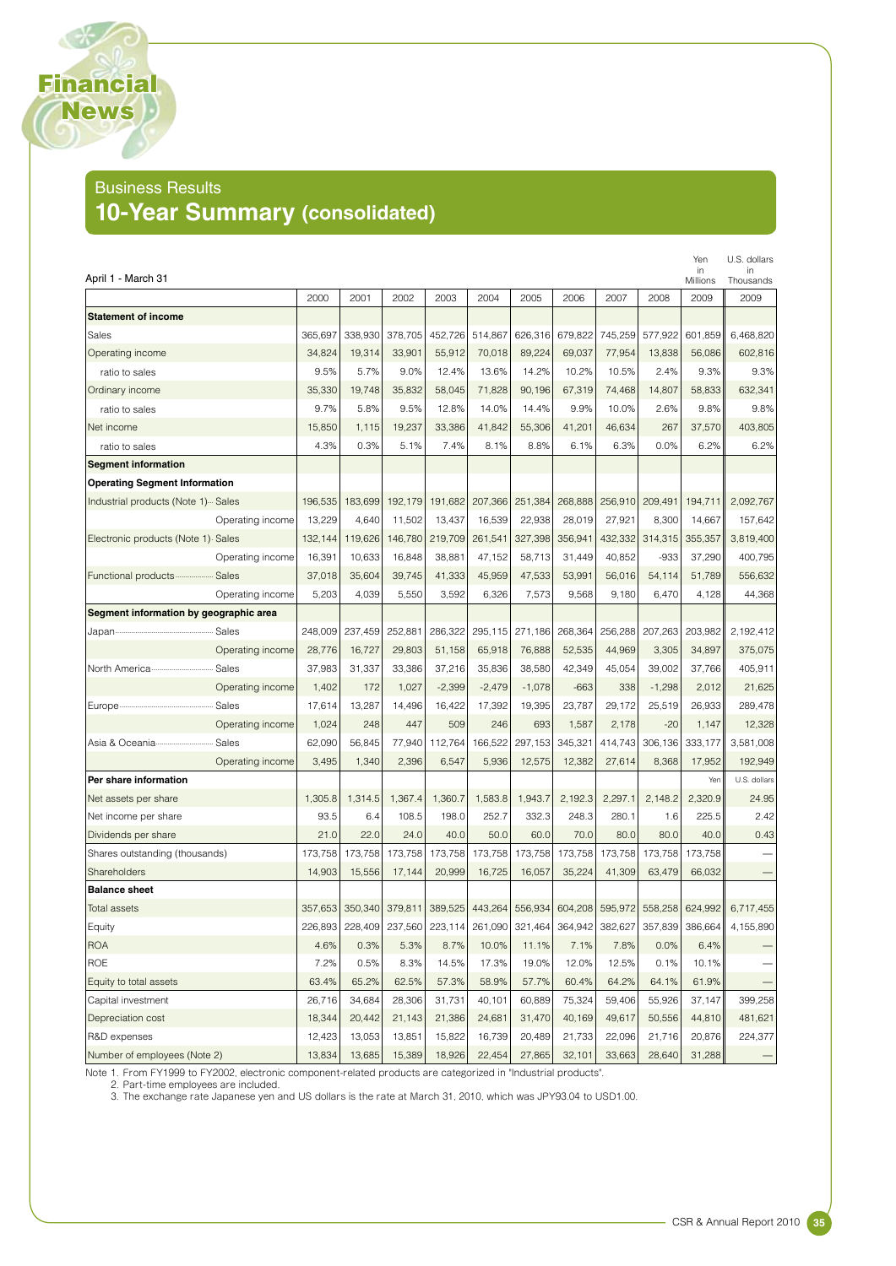#### Business Results **10-Year Summary (consolidated)**

Financial News

|                                        |                  |         |         |         |          |          |          |         |                 |          | Yen            | U.S. dollars<br>in |
|----------------------------------------|------------------|---------|---------|---------|----------|----------|----------|---------|-----------------|----------|----------------|--------------------|
| April 1 - March 31                     |                  |         |         |         |          |          |          |         |                 |          | in<br>Millions | Thousands          |
|                                        |                  | 2000    | 2001    | 2002    | 2003     | 2004     | 2005     | 2006    | 2007            | 2008     | 2009           | 2009               |
| <b>Statement of income</b>             |                  |         |         |         |          |          |          |         |                 |          |                |                    |
| <b>Sales</b>                           |                  | 365,697 | 338,930 | 378,705 | 452,726  | 514.867  | 626,316  | 679,822 | 745,259         | 577,922  | 601,859        | 6,468,820          |
| Operating income                       |                  | 34,824  | 19,314  | 33,901  | 55,912   | 70,018   | 89,224   | 69.037  | 77,954          | 13,838   | 56.086         | 602,816            |
| ratio to sales                         |                  | 9.5%    | 5.7%    | 9.0%    | 12.4%    | 13.6%    | 14.2%    | 10.2%   | 10.5%           | 2.4%     | 9.3%           | 9.3%               |
| Ordinary income                        |                  | 35,330  | 19,748  | 35,832  | 58,045   | 71,828   | 90,196   | 67,319  | 74,468          | 14,807   | 58,833         | 632,341            |
| ratio to sales                         |                  | 9.7%    | 5.8%    | 9.5%    | 12.8%    | 14.0%    | 14.4%    | 9.9%    | 10.0%           | 2.6%     | 9.8%           | 9.8%               |
| Net income                             |                  | 15.850  | 1,115   | 19,237  | 33,386   | 41,842   | 55,306   | 41,201  | 46.634          | 267      | 37,570         | 403,805            |
| ratio to sales                         |                  | 4.3%    | 0.3%    | 5.1%    | 7.4%     | 8.1%     | 8.8%     | 6.1%    | 6.3%            | 0.0%     | 6.2%           | 6.2%               |
| <b>Segment information</b>             |                  |         |         |         |          |          |          |         |                 |          |                |                    |
| <b>Operating Segment Information</b>   |                  |         |         |         |          |          |          |         |                 |          |                |                    |
| Industrial products (Note 1)  Sales    |                  | 196,535 | 183,699 | 192,179 | 191,682  | 207,366  | 251,384  | 268,888 | 256,910         | 209,491  | 194,711        | 2,092,767          |
|                                        | Operating income | 13,229  | 4,640   | 11,502  | 13,437   | 16,539   | 22,938   | 28,019  | 27,921          | 8,300    | 14,667         | 157,642            |
| Electronic products (Note 1) Sales     |                  | 132,144 | 119,626 | 146,780 | 219,709  | 261,541  | 327,398  | 356,941 | 432,332         | 314,315  | 355,357        | 3,819,400          |
|                                        | Operating income | 16,391  | 10,633  | 16.848  | 38,881   | 47,152   | 58,713   | 31,449  | 40.852          | $-933$   | 37.290         | 400,795            |
| Functional products  Sales             |                  | 37,018  | 35.604  | 39.745  | 41.333   | 45,959   | 47,533   | 53,991  | 56,016          | 54,114   | 51,789         | 556,632            |
|                                        | Operating income | 5,203   | 4,039   | 5,550   | 3,592    | 6,326    | 7,573    | 9,568   | 9,180           | 6,470    | 4,128          | 44,368             |
| Segment information by geographic area |                  |         |         |         |          |          |          |         |                 |          |                |                    |
|                                        | Sales            | 248,009 | 237,459 | 252,881 | 286,322  | 295,115  | 271,186  | 268,364 | 256,288         | 207,263  | 203,982        | 2,192,412          |
|                                        | Operating income | 28,776  | 16,727  | 29,803  | 51,158   | 65,918   | 76,888   | 52,535  | 44,969          | 3,305    | 34.897         | 375,075            |
| North America                          | Sales            | 37,983  | 31,337  | 33,386  | 37,216   | 35,836   | 38,580   | 42,349  | 45,054          | 39,002   | 37,766         | 405,911            |
|                                        | Operating income | 1,402   | 172     | 1,027   | $-2,399$ | $-2,479$ | $-1,078$ | $-663$  | 338             | $-1,298$ | 2,012          | 21,625             |
| Europe                                 | Sales            | 17,614  | 13,287  | 14,496  | 16,422   | 17,392   | 19,395   | 23,787  | 29,172          | 25,519   | 26,933         | 289,478            |
|                                        | Operating income | 1,024   | 248     | 447     | 509      | 246      | 693      | 1,587   | 2,178           | $-20$    | 1,147          | 12,328             |
| Asia & Oceania…                        | Sales            | 62,090  | 56,845  | 77,940  | 112,764  | 166,522  | 297,153  | 345,321 | 414,743         | 306,136  | 333,177        | 3,581,008          |
|                                        | Operating income | 3,495   | 1,340   | 2,396   | 6,547    | 5,936    | 12,575   | 12,382  | 27,614          | 8,368    | 17,952         | 192,949            |
| Per share information                  |                  |         |         |         |          |          |          |         |                 |          | Yen            | U.S. dollars       |
| Net assets per share                   |                  | 1,305.8 | 1,314.5 | 1,367.4 | 1,360.7  | 1,583.8  | 1,943.7  | 2,192.3 | 2,297.1         | 2,148.2  | 2,320.9        | 24.95              |
| Net income per share                   |                  | 93.5    | 6.4     | 108.5   | 198.0    | 252.7    | 332.3    | 248.3   | 280.1           | 1.6      | 225.5          | 2.42               |
| Dividends per share                    |                  | 21.0    | 22.0    | 24.0    | 40.0     | 50.0     | 60.0     | 70.0    | 80.0            | 80.0     | 40.0           | 0.43               |
| Shares outstanding (thousands)         |                  | 173,758 | 173,758 | 173,758 | 173.758  | 173.758  | 173,758  | 173,758 | 173,758         | 173,758  | 173,758        |                    |
| Shareholders                           |                  | 14,903  | 15,556  | 17,144  | 20,999   | 16,725   | 16,057   | 35,224  | 41,309          | 63,479   | 66.032         |                    |
| <b>Balance sheet</b>                   |                  |         |         |         |          |          |          |         |                 |          |                |                    |
| Total assets                           |                  | 357,653 | 350,340 | 379,811 | 389,525  | 443,264  | 556,934  | 604.208 | 595,972         | 558,258  | 624,992        | 6,717,455          |
| Equity                                 |                  | 226,893 | 228,409 | 237,560 | 223,114  | 261,090  | 321,464  |         | 364,942 382,627 | 357,839  | 386,664        | 4,155,890          |
| <b>ROA</b>                             |                  | 4.6%    | 0.3%    | 5.3%    | 8.7%     | 10.0%    | 11.1%    | 7.1%    | 7.8%            | 0.0%     | 6.4%           |                    |
| ROE                                    |                  | 7.2%    | 0.5%    | 8.3%    | 14.5%    | 17.3%    | 19.0%    | 12.0%   | 12.5%           | 0.1%     | 10.1%          |                    |
| Equity to total assets                 |                  | 63.4%   | 65.2%   | 62.5%   | 57.3%    | 58.9%    | 57.7%    | 60.4%   | 64.2%           | 64.1%    | 61.9%          |                    |
| Capital investment                     |                  | 26,716  | 34,684  | 28,306  | 31,731   | 40,101   | 60,889   | 75,324  | 59,406          | 55,926   | 37,147         | 399,258            |
| Depreciation cost                      |                  | 18,344  | 20,442  | 21,143  | 21,386   | 24,681   | 31,470   | 40,169  | 49,617          | 50,556   | 44,810         | 481,621            |
| R&D expenses                           |                  | 12,423  | 13,053  | 13,851  | 15,822   | 16,739   | 20,489   | 21,733  | 22,096          | 21,716   | 20,876         | 224,377            |
| Number of employees (Note 2)           |                  | 13,834  | 13,685  | 15,389  | 18,926   | 22,454   | 27,865   | 32,101  | 33,663          | 28,640   | 31,288         |                    |

Note 1. From FY1999 to FY2002, electronic component-related products are categorized in "Industrial products".<br>2. Part-time employees are included.

Extract the exchange rate Japanese yen and US dollars is the rate at March 31, 2010, which was JPY93.04 to USD1.00.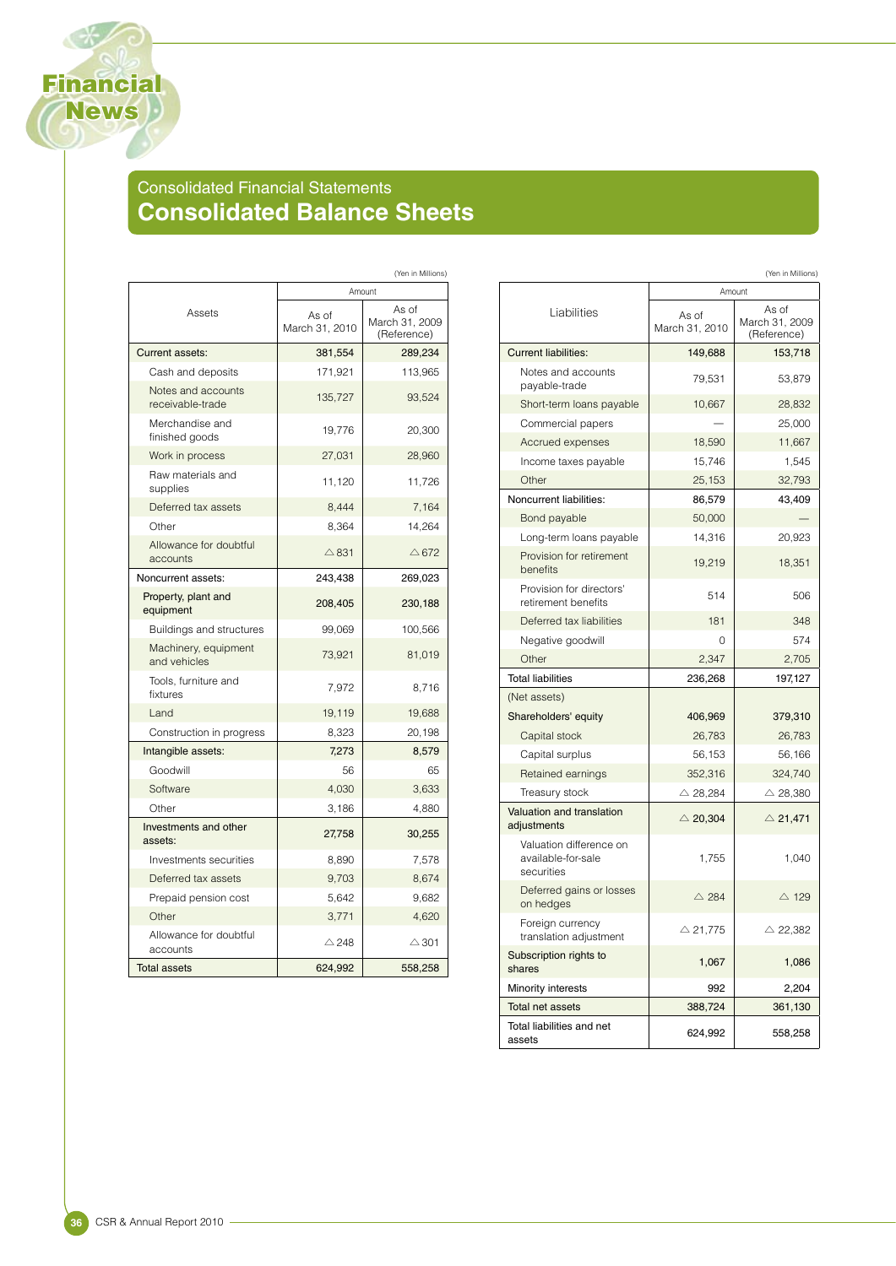# Consolidated Financial Statements **Consolidated Balance Sheets**

|                                        | (Yen in Millions)       |                                        |  |  |  |
|----------------------------------------|-------------------------|----------------------------------------|--|--|--|
|                                        | Amount                  |                                        |  |  |  |
| Assets                                 | As of<br>March 31, 2010 | As of<br>March 31, 2009<br>(Reference) |  |  |  |
| <b>Current assets:</b>                 | 381,554                 | 289,234                                |  |  |  |
| Cash and deposits                      | 171,921                 | 113,965                                |  |  |  |
| Notes and accounts<br>receivable-trade | 135,727                 | 93,524                                 |  |  |  |
| Merchandise and<br>finished goods      | 19,776                  | 20,300                                 |  |  |  |
| Work in process                        | 27,031                  | 28,960                                 |  |  |  |
| Raw materials and<br>supplies          | 11,120                  | 11,726                                 |  |  |  |
| Deferred tax assets                    | 8,444                   | 7,164                                  |  |  |  |
| Other                                  | 8,364                   | 14,264                                 |  |  |  |
| Allowance for doubtful<br>accounts     | $\triangle$ 831         | $\triangle$ 672                        |  |  |  |
| Noncurrent assets:                     | 243,438                 | 269,023                                |  |  |  |
| Property, plant and<br>equipment       | 208,405                 | 230,188                                |  |  |  |
| <b>Buildings and structures</b>        | 99,069                  | 100,566                                |  |  |  |
| Machinery, equipment<br>and vehicles   | 73,921                  | 81,019                                 |  |  |  |
| Tools, furniture and<br>fixtures       | 7,972                   | 8,716                                  |  |  |  |
| Land                                   | 19,119                  | 19,688                                 |  |  |  |
| Construction in progress               | 8,323                   | 20,198                                 |  |  |  |
| Intangible assets:                     | 7,273                   | 8,579                                  |  |  |  |
| Goodwill                               | 56                      | 65                                     |  |  |  |
| Software                               | 4,030                   | 3,633                                  |  |  |  |
| Other                                  | 3,186                   | 4,880                                  |  |  |  |
| Investments and other<br>assets:       | 27,758                  | 30,255                                 |  |  |  |
| Investments securities                 | 8,890                   | 7,578                                  |  |  |  |
| Deferred tax assets                    | 9,703                   | 8,674                                  |  |  |  |
| Prepaid pension cost                   | 5,642                   | 9,682                                  |  |  |  |
| Other                                  | 3,771                   | 4,620                                  |  |  |  |
| Allowance for doubtful<br>accounts     | $\triangle$ 248         | $\triangle$ 301                        |  |  |  |
| <b>Total assets</b>                    | 624,992                 | 558,258                                |  |  |  |

|                                                             |                         | (Yen in Millions)                      |  |  |  |
|-------------------------------------------------------------|-------------------------|----------------------------------------|--|--|--|
|                                                             | Amount                  |                                        |  |  |  |
| Liabilities                                                 | As of<br>March 31, 2010 | As of<br>March 31, 2009<br>(Reference) |  |  |  |
| <b>Current liabilities:</b>                                 | 149,688                 | 153,718                                |  |  |  |
| Notes and accounts<br>payable-trade                         | 79,531                  | 53,879                                 |  |  |  |
| Short-term loans payable                                    | 10,667                  | 28,832                                 |  |  |  |
| Commercial papers                                           |                         | 25,000                                 |  |  |  |
| Accrued expenses                                            | 18,590                  | 11,667                                 |  |  |  |
| Income taxes payable                                        | 15,746                  | 1,545                                  |  |  |  |
| Other                                                       | 25,153                  | 32,793                                 |  |  |  |
| Noncurrent liabilities:                                     | 86,579                  | 43,409                                 |  |  |  |
| Bond payable                                                | 50,000                  |                                        |  |  |  |
| Long-term loans payable                                     | 14,316                  | 20,923                                 |  |  |  |
| Provision for retirement<br>benefits                        | 19,219                  | 18,351                                 |  |  |  |
| Provision for directors'<br>retirement benefits             | 514                     | 506                                    |  |  |  |
| Deferred tax liabilities                                    | 181                     | 348                                    |  |  |  |
| Negative goodwill                                           | 0                       | 574                                    |  |  |  |
| Other                                                       | 2,347                   | 2,705                                  |  |  |  |
| <b>Total liabilities</b>                                    | 236,268                 | 197,127                                |  |  |  |
| (Net assets)                                                |                         |                                        |  |  |  |
| Shareholders' equity                                        | 406,969                 | 379,310                                |  |  |  |
| Capital stock                                               | 26,783                  | 26,783                                 |  |  |  |
| Capital surplus                                             | 56,153                  | 56,166                                 |  |  |  |
| Retained earnings                                           | 352,316                 | 324,740                                |  |  |  |
| Treasury stock                                              | $\triangle$ 28,284      | $\triangle$ 28,380                     |  |  |  |
| Valuation and translation<br>adjustments                    | $\triangle$ 20,304      | $\triangle$ 21,471                     |  |  |  |
| Valuation difference on<br>available-for-sale<br>securities | 1,755                   | 1,040                                  |  |  |  |
| Deferred gains or losses<br>on hedges                       | $\triangle$ 284         | $\triangle$ 129                        |  |  |  |
| Foreign currency<br>translation adjustment                  | $\triangle$ 21,775      | $\triangle$ 22,382                     |  |  |  |
| Subscription rights to<br>shares                            | 1,067                   | 1,086                                  |  |  |  |
| Minority interests                                          | 992                     | 2,204                                  |  |  |  |
| <b>Total net assets</b>                                     | 388,724                 | 361,130                                |  |  |  |
| Total liabilities and net<br>assets                         | 624,992                 | 558,258                                |  |  |  |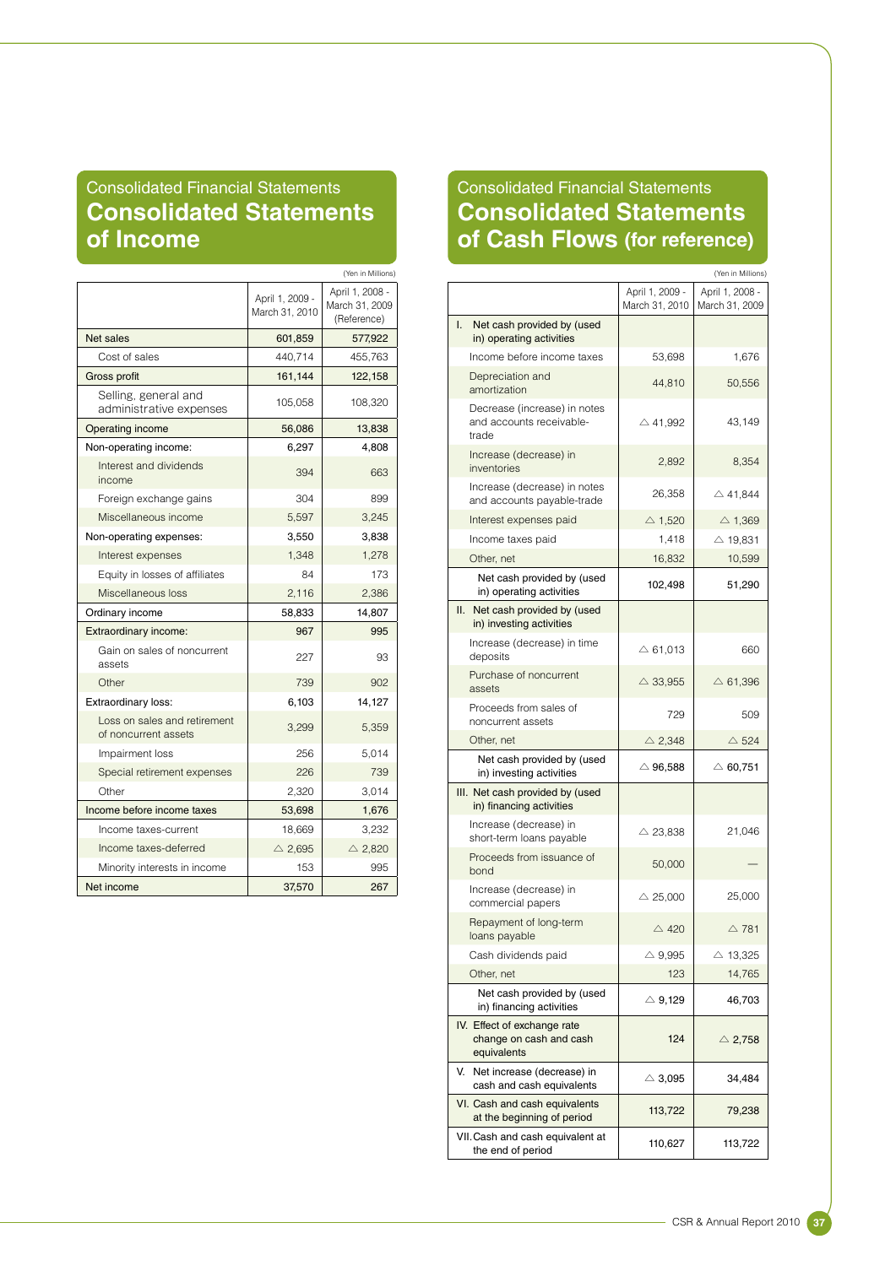## Consolidated Financial Statements **Consolidated Statements of Income**

|                                                      |                                   | (Yen in Millions)                                |  |
|------------------------------------------------------|-----------------------------------|--------------------------------------------------|--|
|                                                      | April 1, 2009 -<br>March 31, 2010 | April 1, 2008 -<br>March 31, 2009<br>(Reference) |  |
| Net sales                                            | 601,859                           | 577,922                                          |  |
| Cost of sales                                        | 440,714                           | 455,763                                          |  |
| Gross profit                                         | 161,144                           | 122,158                                          |  |
| Selling, general and<br>administrative expenses      | 105,058                           | 108,320                                          |  |
| <b>Operating income</b>                              | 56,086                            | 13,838                                           |  |
| Non-operating income:                                | 6,297                             | 4,808                                            |  |
| Interest and dividends<br>income                     | 394                               | 663                                              |  |
| Foreign exchange gains                               | 304                               | 899                                              |  |
| Miscellaneous income                                 | 5,597                             | 3,245                                            |  |
| Non-operating expenses:                              | 3,550                             | 3,838                                            |  |
| Interest expenses                                    | 1,348                             | 1,278                                            |  |
| Equity in losses of affiliates                       | 84                                | 173                                              |  |
| Miscellaneous loss                                   | 2,116                             | 2,386                                            |  |
| Ordinary income                                      | 58,833                            | 14,807                                           |  |
| Extraordinary income:                                | 967                               | 995                                              |  |
| Gain on sales of noncurrent<br>assets                | 227                               | 93                                               |  |
| Other                                                | 739                               | 902                                              |  |
| <b>Extraordinary loss:</b>                           | 6,103                             | 14,127                                           |  |
| Loss on sales and retirement<br>of noncurrent assets | 3,299                             | 5,359                                            |  |
| Impairment loss                                      | 256                               | 5,014                                            |  |
| Special retirement expenses                          | 226                               | 739                                              |  |
| Other                                                | 2,320                             | 3,014                                            |  |
| Income before income taxes                           | 53,698                            | 1,676                                            |  |
| Income taxes-current                                 | 18,669                            | 3,232                                            |  |
| Income taxes-deferred                                | $\triangle$ 2,695                 | $\triangle$ 2,820                                |  |
| Minority interests in income                         | 153                               | 995                                              |  |
| Net income                                           | 37,570                            | 267                                              |  |

## Consolidated Financial Statements **Consolidated Statements of Cash Flows (for reference)**

|                                                                       |                                   | (Yen in Millions)                 |
|-----------------------------------------------------------------------|-----------------------------------|-----------------------------------|
|                                                                       | April 1, 2009 -<br>March 31, 2010 | April 1, 2008 -<br>March 31, 2009 |
| I.<br>Net cash provided by (used<br>in) operating activities          |                                   |                                   |
| Income before income taxes                                            | 53,698                            | 1,676                             |
| Depreciation and<br>amortization                                      | 44,810                            | 50,556                            |
| Decrease (increase) in notes<br>and accounts receivable-<br>trade     | $\triangle$ 41,992                | 43,149                            |
| Increase (decrease) in<br>inventories                                 | 2,892                             | 8,354                             |
| Increase (decrease) in notes<br>and accounts payable-trade            | 26,358                            | $\triangle$ 41,844                |
| Interest expenses paid                                                | $\triangle$ 1,520                 | $\triangle$ 1,369                 |
| Income taxes paid                                                     | 1,418                             | $\triangle$ 19,831                |
| Other, net                                                            | 16,832                            | 10,599                            |
| Net cash provided by (used<br>in) operating activities                | 102,498                           | 51,290                            |
| II.<br>Net cash provided by (used<br>in) investing activities         |                                   |                                   |
| Increase (decrease) in time<br>deposits                               | $\triangle$ 61.013                | 660                               |
| Purchase of noncurrent<br>assets                                      | $\triangle$ 33,955                | $\triangle$ 61,396                |
| Proceeds from sales of<br>noncurrent assets                           | 729                               | 509                               |
| Other, net                                                            | $\triangle$ 2,348                 | $\triangle$ 524                   |
| Net cash provided by (used<br>in) investing activities                | $\triangle$ 96,588                | $\triangle$ 60,751                |
| III. Net cash provided by (used<br>in) financing activities           |                                   |                                   |
| Increase (decrease) in<br>short-term loans payable                    | $\triangle$ 23,838                | 21,046                            |
| Proceeds from issuance of<br>bond                                     | 50,000                            |                                   |
| Increase (decrease) in<br>commercial papers                           | $\triangle$ 25,000                | 25,000                            |
| Repayment of long-term<br>loans payable                               | $\triangle$ 420                   | $\triangle$ 781                   |
| Cash dividends paid                                                   | $\triangle$ 9,995                 | $\triangle$ 13,325                |
| Other, net                                                            | 123                               | 14,765                            |
| Net cash provided by (used<br>in) financing activities                | $\triangle$ 9,129                 | 46,703                            |
| IV. Effect of exchange rate<br>change on cash and cash<br>equivalents | 124                               | $\triangle$ 2,758                 |
| V.<br>Net increase (decrease) in<br>cash and cash equivalents         | $\triangle$ 3,095                 | 34,484                            |
| VI. Cash and cash equivalents<br>at the beginning of period           | 113,722                           | 79,238                            |
| VII. Cash and cash equivalent at<br>the end of period                 | 110,627                           | 113,722                           |